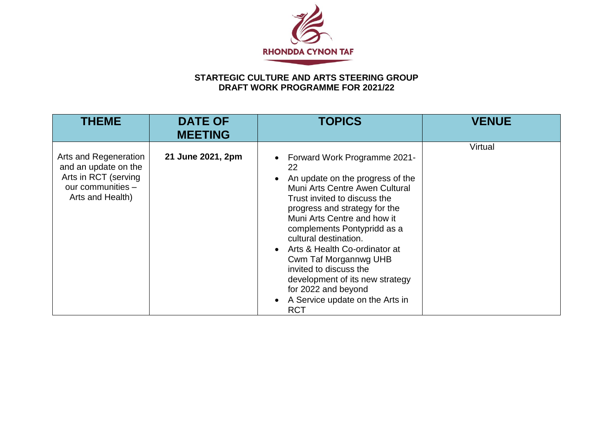

## **STARTEGIC CULTURE AND ARTS STEERING GROUP DRAFT WORK PROGRAMME FOR 2021/22**

| <b>THEME</b>                                                                                                   | <b>DATE OF</b><br><b>MEETING</b> | <b>TOPICS</b>                                                                                                                                                                                                                                                                                                                                                                                                                                                   | <b>VENUE</b> |
|----------------------------------------------------------------------------------------------------------------|----------------------------------|-----------------------------------------------------------------------------------------------------------------------------------------------------------------------------------------------------------------------------------------------------------------------------------------------------------------------------------------------------------------------------------------------------------------------------------------------------------------|--------------|
| Arts and Regeneration<br>and an update on the<br>Arts in RCT (serving<br>our communities -<br>Arts and Health) | 21 June 2021, 2pm                | Forward Work Programme 2021-<br>22<br>An update on the progress of the<br>Muni Arts Centre Awen Cultural<br>Trust invited to discuss the<br>progress and strategy for the<br>Muni Arts Centre and how it<br>complements Pontypridd as a<br>cultural destination.<br>Arts & Health Co-ordinator at<br>Cwm Taf Morgannwg UHB<br>invited to discuss the<br>development of its new strategy<br>for 2022 and beyond<br>A Service update on the Arts in<br><b>RCT</b> | Virtual      |